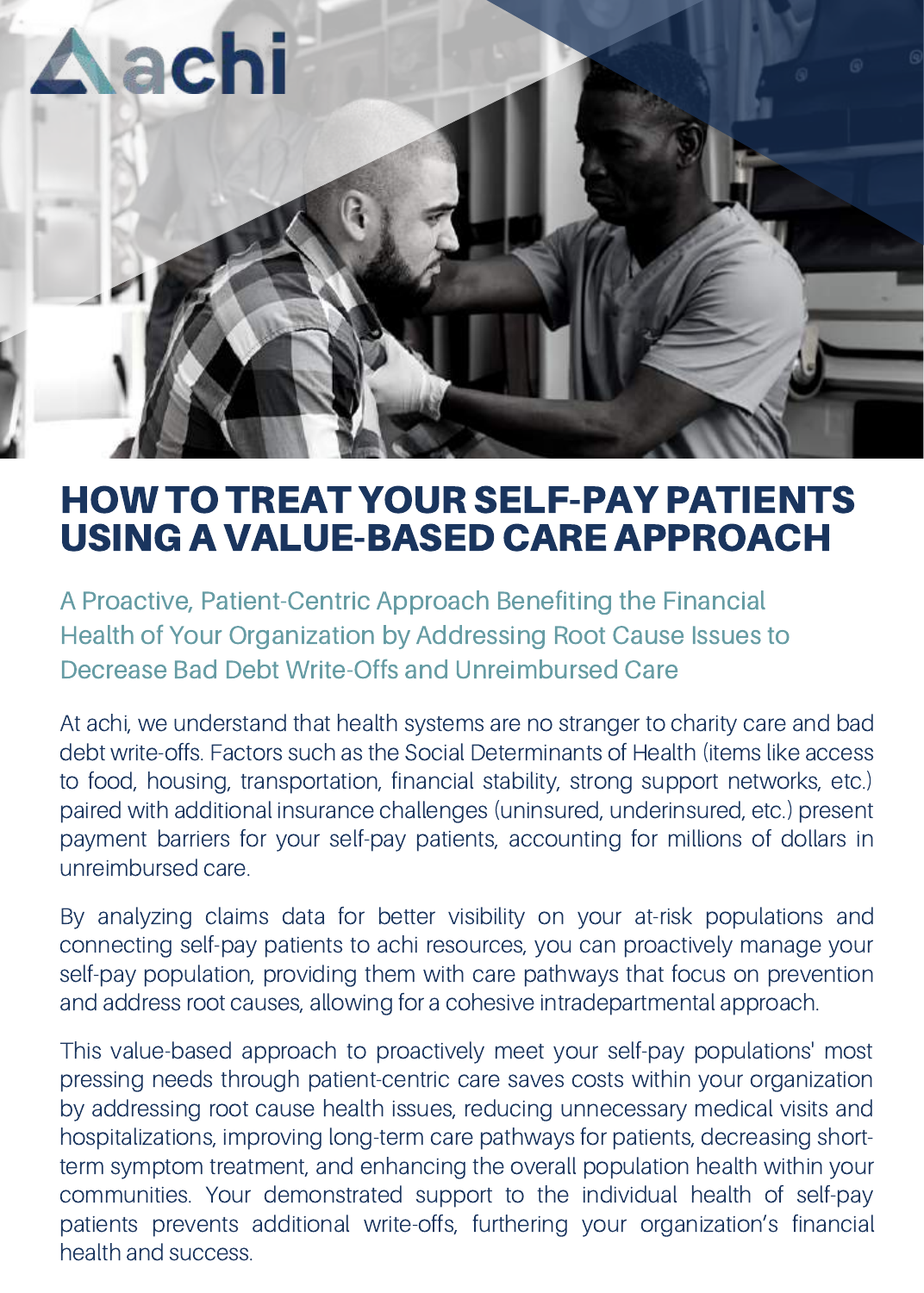

## HOWTO TREAT YOURSELF-PAY PATIENTS USING A VALUE-BASED CARE APPROACH

A Proactive, Patient-Centric Approach Benefiting the Financial Health of Your Organization by Addressing Root Cause Issues to Decrease Bad Debt Write-Offs and Unreimbursed Care

At achi, we understand that health systems are no stranger to charity care and bad debt write-offs. Factors such as the Social Determinants of Health (items like access to food, housing, transportation, financial stability, strong support networks, etc.) paired with additional insurance challenges (uninsured, underinsured, etc.) present payment barriers for your self-pay patients, accounting for millions of dollars in unreimbursed care.

By analyzing claims data for better visibility on your at-risk populations and connecting self-pay patients to achi resources, you can proactively manage your self-pay population, providing them with care pathways that focus on prevention and address root causes, allowing for a cohesive intradepartmental approach.

This value-based approach to proactively meet your self-pay populations' most pressing needs through patient-centric care saves costs within your organization by addressing root cause health issues, reducing unnecessary medical visits and hospitalizations, improving long-term care pathways for patients, decreasing shortterm symptom treatment, and enhancing the overall population health within your communities. Your demonstrated support to the individual health of self-pay patients prevents additional write-offs, furthering your organization's financial health and success.